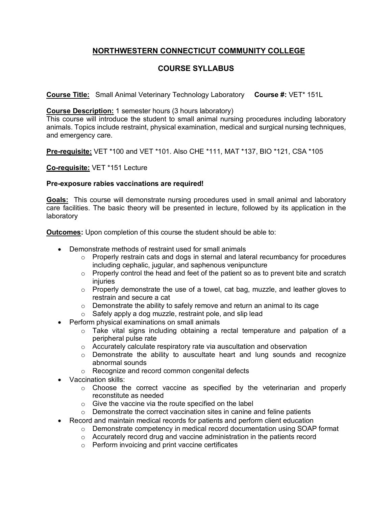## **NORTHWESTERN CONNECTICUT COMMUNITY COLLEGE**

## **COURSE SYLLABUS**

**Course Title:** Small Animal Veterinary Technology Laboratory **Course #:** VET\* 151L

## **Course Description:** 1 semester hours (3 hours laboratory)

This course will introduce the student to small animal nursing procedures including laboratory animals. Topics include restraint, physical examination, medical and surgical nursing techniques, and emergency care.

**Pre-requisite:** VET \*100 and VET \*101. Also CHE \*111, MAT \*137, BIO \*121, CSA \*105

**Co-requisite:** VET \*151 Lecture

## **Pre-exposure rabies vaccinations are required!**

**Goals:** This course will demonstrate nursing procedures used in small animal and laboratory care facilities. The basic theory will be presented in lecture, followed by its application in the laboratory

**Outcomes:** Upon completion of this course the student should be able to:

- Demonstrate methods of restraint used for small animals
	- $\circ$  Properly restrain cats and dogs in sternal and lateral recumbancy for procedures including cephalic, jugular, and saphenous venipuncture
	- $\circ$  Properly control the head and feet of the patient so as to prevent bite and scratch injuries
	- $\circ$  Properly demonstrate the use of a towel, cat bag, muzzle, and leather gloves to restrain and secure a cat
	- o Demonstrate the ability to safely remove and return an animal to its cage
	- o Safely apply a dog muzzle, restraint pole, and slip lead
- Perform physical examinations on small animals
	- $\circ$  Take vital signs including obtaining a rectal temperature and palpation of a peripheral pulse rate
	- o Accurately calculate respiratory rate via auscultation and observation
	- $\circ$  Demonstrate the ability to auscultate heart and lung sounds and recognize abnormal sounds
	- o Recognize and record common congenital defects
- Vaccination skills:
	- o Choose the correct vaccine as specified by the veterinarian and properly reconstitute as needed
	- o Give the vaccine via the route specified on the label
	- o Demonstrate the correct vaccination sites in canine and feline patients
- Record and maintain medical records for patients and perform client education
	- o Demonstrate competency in medical record documentation using SOAP format
		- o Accurately record drug and vaccine administration in the patients record
		- o Perform invoicing and print vaccine certificates